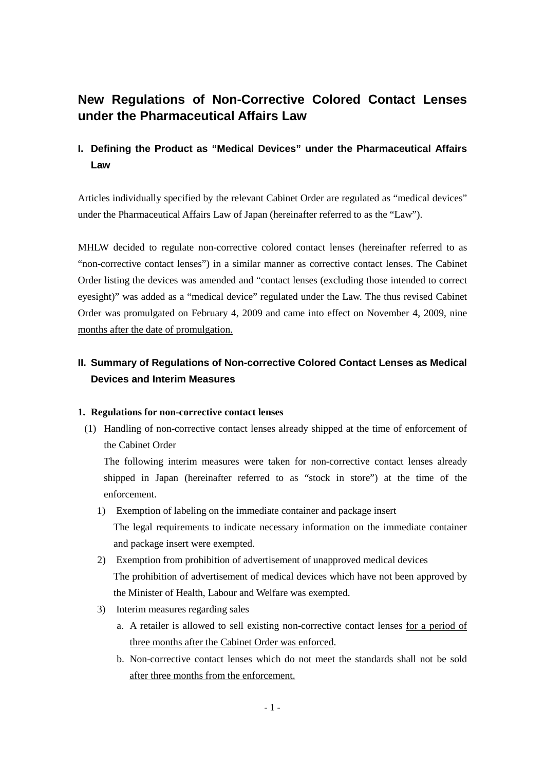## **New Regulations of Non-Corrective Colored Contact Lenses under the Pharmaceutical Affairs Law**

### **I. Defining the Product as "Medical Devices" under the Pharmaceutical Affairs Law**

Articles individually specified by the relevant Cabinet Order are regulated as "medical devices" under the Pharmaceutical Affairs Law of Japan (hereinafter referred to as the "Law").

MHLW decided to regulate non-corrective colored contact lenses (hereinafter referred to as "non-corrective contact lenses") in a similar manner as corrective contact lenses. The Cabinet Order listing the devices was amended and "contact lenses (excluding those intended to correct eyesight)" was added as a "medical device" regulated under the Law. The thus revised Cabinet Order was promulgated on February 4, 2009 and came into effect on November 4, 2009, nine months after the date of promulgation.

## **II. Summary of Regulations of Non-corrective Colored Contact Lenses as Medical Devices and Interim Measures**

#### **1. Regulations for non-corrective contact lenses**

(1) Handling of non-corrective contact lenses already shipped at the time of enforcement of the Cabinet Order

The following interim measures were taken for non-corrective contact lenses already shipped in Japan (hereinafter referred to as "stock in store") at the time of the enforcement.

- 1) Exemption of labeling on the immediate container and package insert The legal requirements to indicate necessary information on the immediate container and package insert were exempted.
- 2) Exemption from prohibition of advertisement of unapproved medical devices The prohibition of advertisement of medical devices which have not been approved by the Minister of Health, Labour and Welfare was exempted.
- 3) Interim measures regarding sales
	- a. A retailer is allowed to sell existing non-corrective contact lenses for a period of three months after the Cabinet Order was enforced.
	- b. Non-corrective contact lenses which do not meet the standards shall not be sold after three months from the enforcement.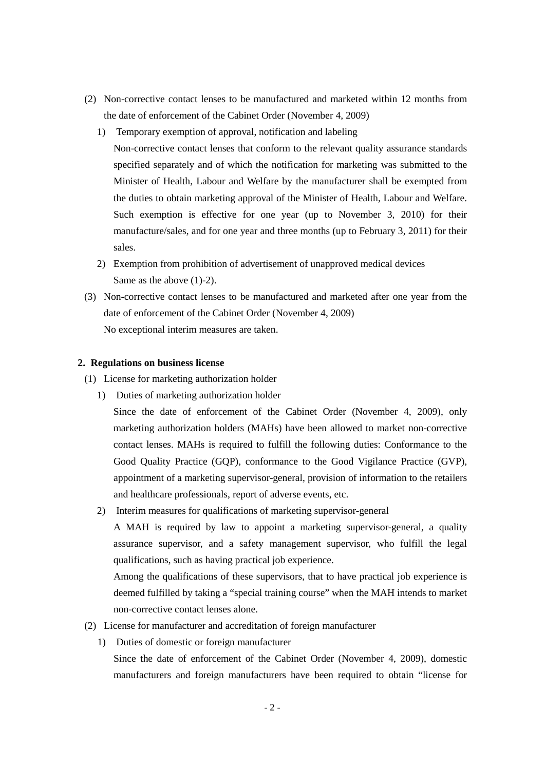- (2) Non-corrective contact lenses to be manufactured and marketed within 12 months from the date of enforcement of the Cabinet Order (November 4, 2009)
	- 1) Temporary exemption of approval, notification and labeling
		- Non-corrective contact lenses that conform to the relevant quality assurance standards specified separately and of which the notification for marketing was submitted to the Minister of Health, Labour and Welfare by the manufacturer shall be exempted from the duties to obtain marketing approval of the Minister of Health, Labour and Welfare. Such exemption is effective for one year (up to November 3, 2010) for their manufacture/sales, and for one year and three months (up to February 3, 2011) for their sales.
	- 2) Exemption from prohibition of advertisement of unapproved medical devices Same as the above (1)-2).
- (3) Non-corrective contact lenses to be manufactured and marketed after one year from the date of enforcement of the Cabinet Order (November 4, 2009) No exceptional interim measures are taken.

#### **2. Regulations on business license**

- (1) License for marketing authorization holder
	- 1) Duties of marketing authorization holder
		- Since the date of enforcement of the Cabinet Order (November 4, 2009), only marketing authorization holders (MAHs) have been allowed to market non-corrective contact lenses. MAHs is required to fulfill the following duties: Conformance to the Good Quality Practice (GQP), conformance to the Good Vigilance Practice (GVP), appointment of a marketing supervisor-general, provision of information to the retailers and healthcare professionals, report of adverse events, etc.
	- 2) Interim measures for qualifications of marketing supervisor-general

A MAH is required by law to appoint a marketing supervisor-general, a quality assurance supervisor, and a safety management supervisor, who fulfill the legal qualifications, such as having practical job experience.

Among the qualifications of these supervisors, that to have practical job experience is deemed fulfilled by taking a "special training course" when the MAH intends to market non-corrective contact lenses alone.

- (2) License for manufacturer and accreditation of foreign manufacturer
	- 1) Duties of domestic or foreign manufacturer

Since the date of enforcement of the Cabinet Order (November 4, 2009), domestic manufacturers and foreign manufacturers have been required to obtain "license for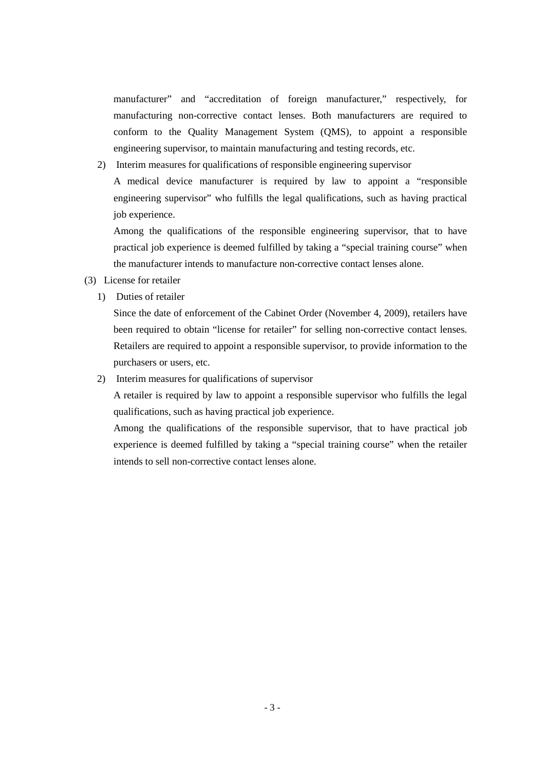manufacturer" and "accreditation of foreign manufacturer," respectively, for manufacturing non-corrective contact lenses. Both manufacturers are required to conform to the Quality Management System (QMS), to appoint a responsible engineering supervisor, to maintain manufacturing and testing records, etc.

2) Interim measures for qualifications of responsible engineering supervisor A medical device manufacturer is required by law to appoint a "responsible engineering supervisor" who fulfills the legal qualifications, such as having practical job experience.

Among the qualifications of the responsible engineering supervisor, that to have practical job experience is deemed fulfilled by taking a "special training course" when the manufacturer intends to manufacture non-corrective contact lenses alone.

- (3) License for retailer
	- 1) Duties of retailer

Since the date of enforcement of the Cabinet Order (November 4, 2009), retailers have been required to obtain "license for retailer" for selling non-corrective contact lenses. Retailers are required to appoint a responsible supervisor, to provide information to the purchasers or users, etc.

2) Interim measures for qualifications of supervisor

A retailer is required by law to appoint a responsible supervisor who fulfills the legal qualifications, such as having practical job experience.

Among the qualifications of the responsible supervisor, that to have practical job experience is deemed fulfilled by taking a "special training course" when the retailer intends to sell non-corrective contact lenses alone.